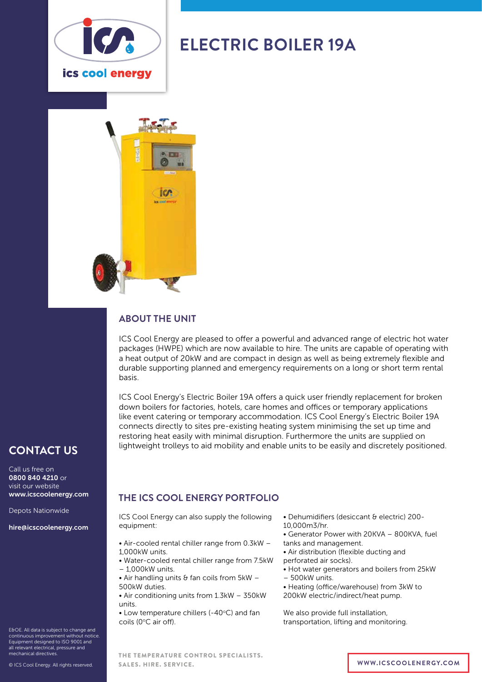

# **ELECTRIC BOILER 19A**



#### **ABOUT THE UNIT**

ICS Cool Energy are pleased to offer a powerful and advanced range of electric hot water packages (HWPE) which are now available to hire. The units are capable of operating with a heat output of 20kW and are compact in design as well as being extremely flexible and durable supporting planned and emergency requirements on a long or short term rental basis.

ICS Cool Energy's Electric Boiler 19A offers a quick user friendly replacement for broken down boilers for factories, hotels, care homes and offices or temporary applications like event catering or temporary accommodation. ICS Cool Energy's Electric Boiler 19A connects directly to sites pre-existing heating system minimising the set up time and restoring heat easily with minimal disruption. Furthermore the units are supplied on lightweight trolleys to aid mobility and enable units to be easily and discretely positioned.

## **CONTACT US**

Call us free on 0800 840 4210 or visit our website www.icscoolenergy.com

Depots Nationwide

hire@icscoolenergy.com

E&OE. All data is subject to change and continuous improvement without notice. Equipment designed to ISO 9001 and all relevant electrical, pressure and mechanical directives.

© ICS Cool Energy. All rights reserved.

### **THE ICS COOL ENERGY PORTFOLIO**

ICS Cool Energy can also supply the following equipment:

- Air-cooled rental chiller range from 0.3kW 1,000kW units.
- Water-cooled rental chiller range from 7.5kW – 1,000kW units.
- $\bullet$  Air handling units & fan coils from 5kW -500kW duties.
- Air conditioning units from 1.3kW 350kW units.
- Low temperature chillers (-40 $\degree$ C) and fan coils (0°C air off).
- Dehumidifiers (desiccant & electric) 200-
- 10,000m3/hr.
- Generator Power with 20KVA 800KVA, fuel tanks and management.
- Air distribution (flexible ducting and perforated air socks).
- 
- Hot water generators and boilers from 25kW
- 500kW units.
- Heating (office/warehouse) from 3kW to
- 200kW electric/indirect/heat pump.

We also provide full installation, transportation, lifting and monitoring.

THE TEMPERATURE CONTROL SPECIALISTS. SALES. HIRE. SERVICE. **WWW.ICSCOOLENERGY.COM**